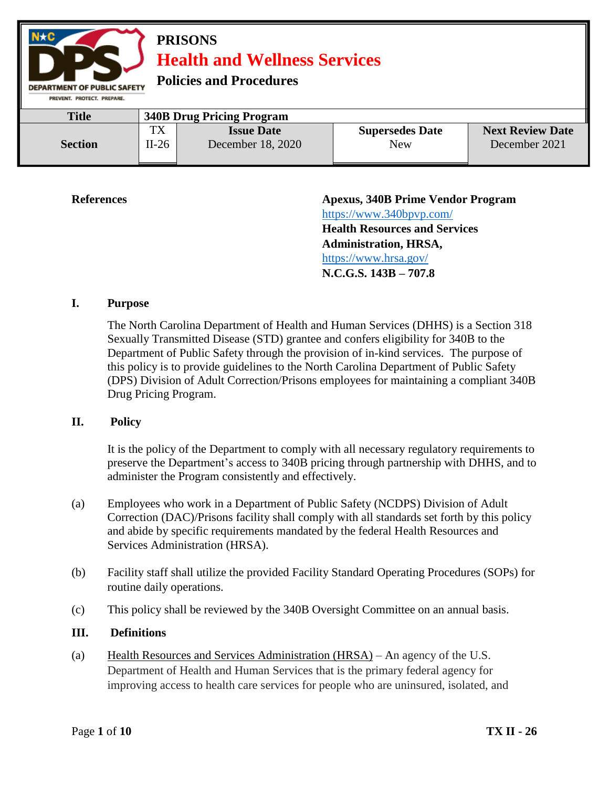

**References Apexus, 340B Prime Vendor Program**  <https://www.340bpvp.com/> **Health Resources and Services Administration, HRSA,**  <https://www.hrsa.gov/> **N.C.G.S. 143B – 707.8**

### **I. Purpose**

The North Carolina Department of Health and Human Services (DHHS) is a Section 318 Sexually Transmitted Disease (STD) grantee and confers eligibility for 340B to the Department of Public Safety through the provision of in-kind services. The purpose of this policy is to provide guidelines to the North Carolina Department of Public Safety (DPS) Division of Adult Correction/Prisons employees for maintaining a compliant 340B Drug Pricing Program.

### **II. Policy**

It is the policy of the Department to comply with all necessary regulatory requirements to preserve the Department's access to 340B pricing through partnership with DHHS, and to administer the Program consistently and effectively.

- (a) Employees who work in a Department of Public Safety (NCDPS) Division of Adult Correction (DAC)/Prisons facility shall comply with all standards set forth by this policy and abide by specific requirements mandated by the federal Health Resources and Services Administration (HRSA).
- (b) Facility staff shall utilize the provided Facility Standard Operating Procedures (SOPs) for routine daily operations.
- (c) This policy shall be reviewed by the 340B Oversight Committee on an annual basis.

### **III. Definitions**

(a) Health Resources and Services Administration (HRSA) – An agency of the U.S. Department of Health and Human Services that is the primary federal agency for improving access to health care services for people who are uninsured, isolated, and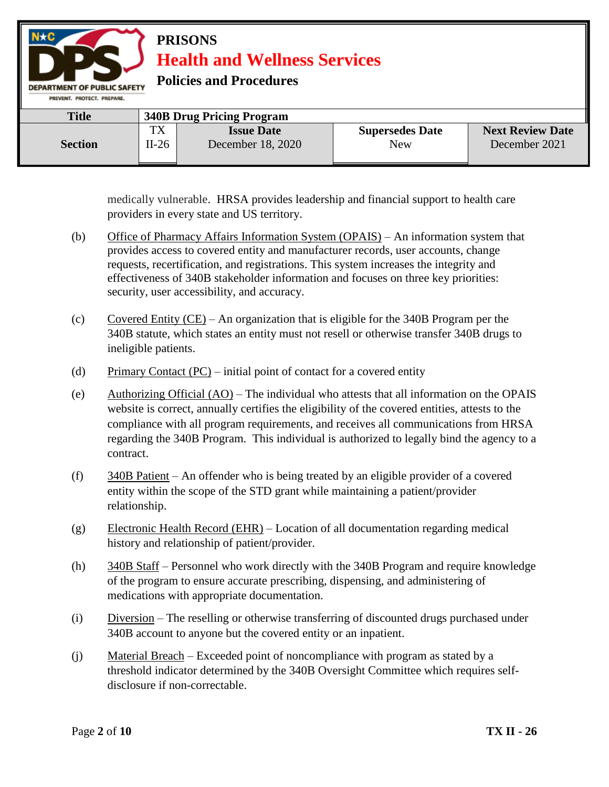

medically vulnerable. HRSA provides leadership and financial support to health care providers in every state and US territory.

- (b) Office of Pharmacy Affairs Information System (OPAIS) An information system that provides access to covered entity and manufacturer records, user accounts, change requests, recertification, and registrations. This system increases the integrity and effectiveness of 340B stakeholder information and focuses on three key priorities: security, user accessibility, and accuracy.
- (c) Covered Entity (CE) An organization that is eligible for the 340B Program per the 340B statute, which states an entity must not resell or otherwise transfer 340B drugs to ineligible patients.
- (d) Primary Contact  $(PC)$  initial point of contact for a covered entity
- (e) Authorizing Official (AO) The individual who attests that all information on the OPAIS website is correct, annually certifies the eligibility of the covered entities, attests to the compliance with all program requirements, and receives all communications from HRSA regarding the 340B Program. This individual is authorized to legally bind the agency to a contract.
- (f) 340B Patient An offender who is being treated by an eligible provider of a covered entity within the scope of the STD grant while maintaining a patient/provider relationship.
- (g) Electronic Health Record (EHR) Location of all documentation regarding medical history and relationship of patient/provider.
- (h) 340B Staff Personnel who work directly with the 340B Program and require knowledge of the program to ensure accurate prescribing, dispensing, and administering of medications with appropriate documentation.
- (i) Diversion The reselling or otherwise transferring of discounted drugs purchased under 340B account to anyone but the covered entity or an inpatient.
- (j) Material Breach Exceeded point of noncompliance with program as stated by a threshold indicator determined by the 340B Oversight Committee which requires selfdisclosure if non-correctable.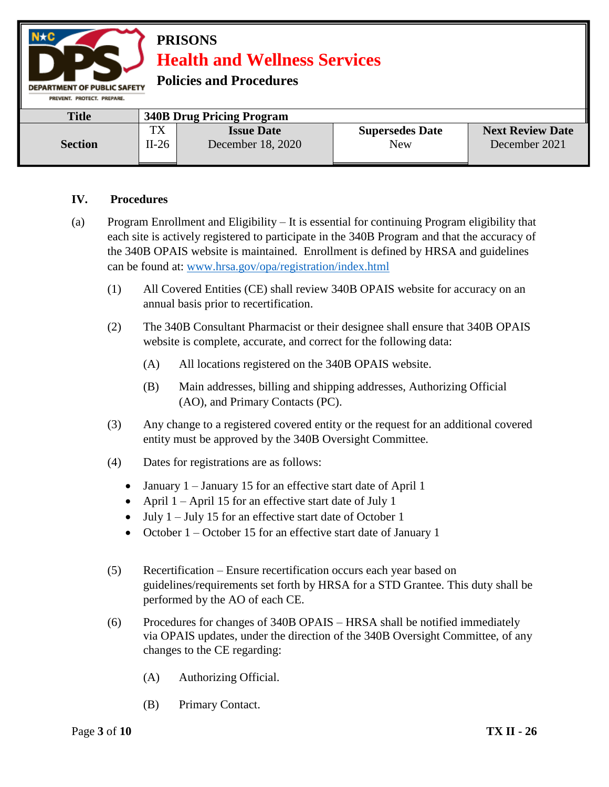

## **Policies and Procedures**

| <b>Title</b>   | <b>340B Drug Pricing Program</b> |                                        |                               |                                          |
|----------------|----------------------------------|----------------------------------------|-------------------------------|------------------------------------------|
| <b>Section</b> | <b>TX</b><br>$II-26$             | <b>Issue Date</b><br>December 18, 2020 | <b>Supersedes Date</b><br>New | <b>Next Review Date</b><br>December 2021 |

### **IV. Procedures**

- (a) Program Enrollment and Eligibility It is essential for continuing Program eligibility that each site is actively registered to participate in the 340B Program and that the accuracy of the 340B OPAIS website is maintained. Enrollment is defined by HRSA and guidelines can be found at: [www.hrsa.gov/opa/registration/index.html](http://www.hrsa.gov/opa/registration/index.html) 
	- (1) All Covered Entities (CE) shall review 340B OPAIS website for accuracy on an annual basis prior to recertification.
	- (2) The 340B Consultant Pharmacist or their designee shall ensure that 340B OPAIS website is complete, accurate, and correct for the following data:
		- (A) All locations registered on the 340B OPAIS website.
		- (B) Main addresses, billing and shipping addresses, Authorizing Official (AO), and Primary Contacts (PC).
	- (3) Any change to a registered covered entity or the request for an additional covered entity must be approved by the 340B Oversight Committee.
	- (4) Dates for registrations are as follows:
		- January  $1 -$  January 15 for an effective start date of April 1
		- April  $1 -$ April 15 for an effective start date of July 1
		- $\bullet$  July 1 July 15 for an effective start date of October 1
		- October  $1 -$ October 15 for an effective start date of January 1
	- (5) Recertification Ensure recertification occurs each year based on guidelines/requirements set forth by HRSA for a STD Grantee. This duty shall be performed by the AO of each CE.
	- (6) Procedures for changes of 340B OPAIS HRSA shall be notified immediately via OPAIS updates, under the direction of the 340B Oversight Committee, of any changes to the CE regarding:
		- (A) Authorizing Official.
		- (B) Primary Contact.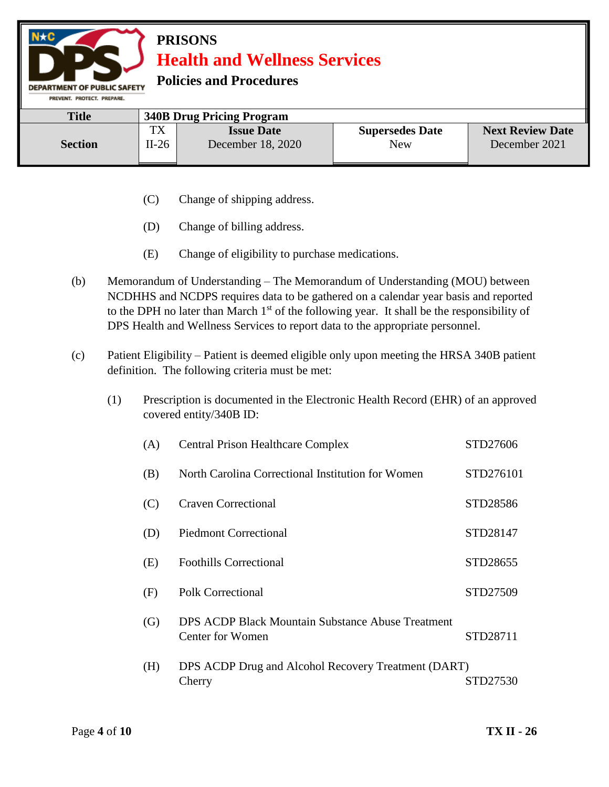

**Policies and Procedures** 

| <b>Title</b>   | <b>340B Drug Pricing Program</b> |                                        |                               |                                          |
|----------------|----------------------------------|----------------------------------------|-------------------------------|------------------------------------------|
| <b>Section</b> | тv<br>1 A<br>$II-26$             | <b>Issue Date</b><br>December 18, 2020 | <b>Supersedes Date</b><br>New | <b>Next Review Date</b><br>December 2021 |

- (C) Change of shipping address.
- (D) Change of billing address.
- (E) Change of eligibility to purchase medications.
- (b) Memorandum of Understanding The Memorandum of Understanding (MOU) between NCDHHS and NCDPS requires data to be gathered on a calendar year basis and reported to the DPH no later than March  $1<sup>st</sup>$  of the following year. It shall be the responsibility of DPS Health and Wellness Services to report data to the appropriate personnel.
- (c) Patient Eligibility Patient is deemed eligible only upon meeting the HRSA 340B patient definition. The following criteria must be met:
	- (1) Prescription is documented in the Electronic Health Record (EHR) of an approved covered entity/340B ID:

| (A) | <b>Central Prison Healthcare Complex</b>                              | STD27606  |
|-----|-----------------------------------------------------------------------|-----------|
| (B) | North Carolina Correctional Institution for Women                     | STD276101 |
| (C) | <b>Craven Correctional</b>                                            | STD28586  |
| (D) | <b>Piedmont Correctional</b>                                          | STD28147  |
| (E) | <b>Foothills Correctional</b>                                         | STD28655  |
| (F) | Polk Correctional                                                     | STD27509  |
| (G) | DPS ACDP Black Mountain Substance Abuse Treatment<br>Center for Women | STD28711  |
| (H) | DPS ACDP Drug and Alcohol Recovery Treatment (DART)<br>Cherry         | STD27530  |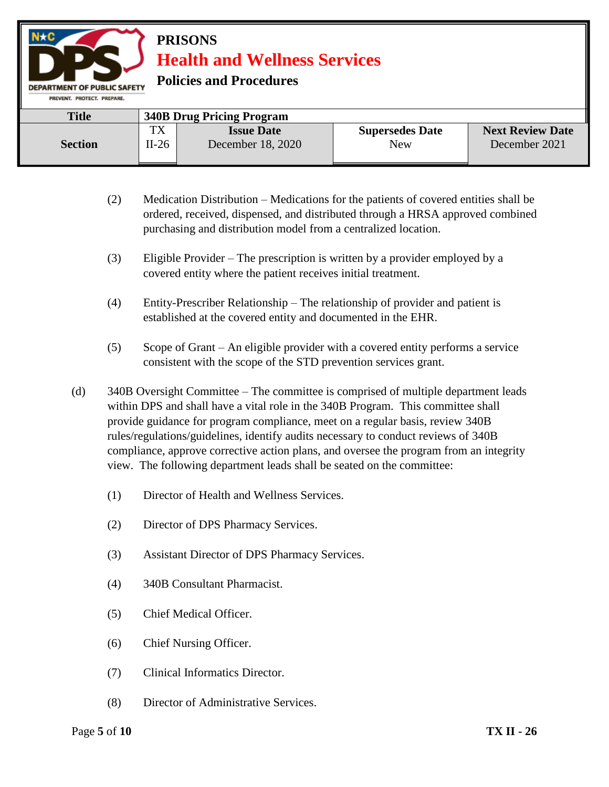

**Policies and Procedures** 

| <b>Title</b>   | <b>340B Drug Pricing Program</b> |                                        |                               |                                          |
|----------------|----------------------------------|----------------------------------------|-------------------------------|------------------------------------------|
| <b>Section</b> | TX<br>$II-26$                    | <b>Issue Date</b><br>December 18, 2020 | <b>Supersedes Date</b><br>New | <b>Next Review Date</b><br>December 2021 |

- (2) Medication Distribution Medications for the patients of covered entities shall be ordered, received, dispensed, and distributed through a HRSA approved combined purchasing and distribution model from a centralized location.
- (3) Eligible Provider The prescription is written by a provider employed by a covered entity where the patient receives initial treatment.
- (4) Entity-Prescriber Relationship The relationship of provider and patient is established at the covered entity and documented in the EHR.
- (5) Scope of Grant An eligible provider with a covered entity performs a service consistent with the scope of the STD prevention services grant.
- (d) 340B Oversight Committee The committee is comprised of multiple department leads within DPS and shall have a vital role in the 340B Program. This committee shall provide guidance for program compliance, meet on a regular basis, review 340B rules/regulations/guidelines, identify audits necessary to conduct reviews of 340B compliance, approve corrective action plans, and oversee the program from an integrity view. The following department leads shall be seated on the committee:
	- (1) Director of Health and Wellness Services.
	- (2) Director of DPS Pharmacy Services.
	- (3) Assistant Director of DPS Pharmacy Services.
	- (4) 340B Consultant Pharmacist.
	- (5) Chief Medical Officer.
	- (6) Chief Nursing Officer.
	- (7) Clinical Informatics Director.
	- (8) Director of Administrative Services.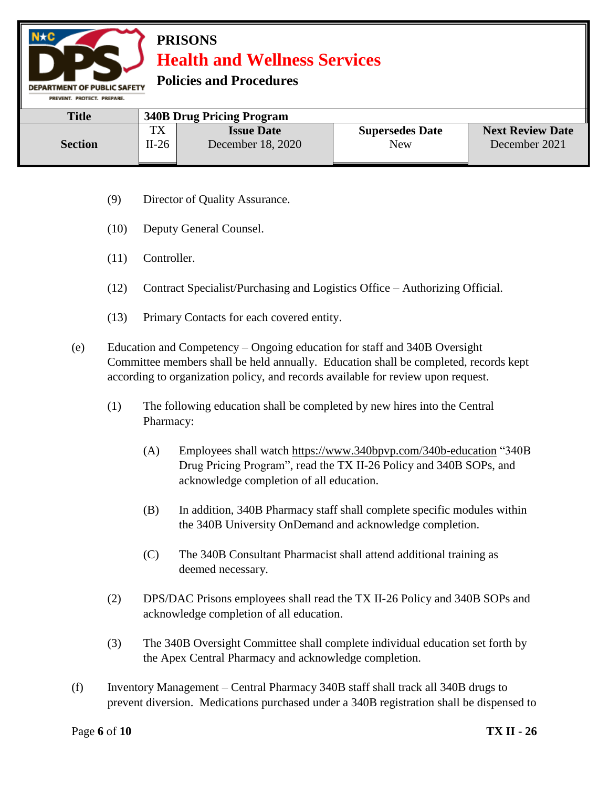

### **Policies and Procedures**

| <b>Title</b>   | <b>340B Drug Pricing Program</b> |                   |                        |                         |
|----------------|----------------------------------|-------------------|------------------------|-------------------------|
| <b>Section</b> | <b>TX</b>                        | <b>Issue Date</b> | <b>Supersedes Date</b> | <b>Next Review Date</b> |
|                | $II-26$                          | December 18, 2020 | New                    | December 2021           |

- (9) Director of Quality Assurance.
- (10) Deputy General Counsel.
- (11) Controller.
- (12) Contract Specialist/Purchasing and Logistics Office Authorizing Official.
- (13) Primary Contacts for each covered entity.
- (e) Education and Competency Ongoing education for staff and 340B Oversight Committee members shall be held annually. Education shall be completed, records kept according to organization policy, and records available for review upon request.
	- (1) The following education shall be completed by new hires into the Central Pharmacy:
		- (A) Employees shall watch<https://www.340bpvp.com/340b-education> "340B Drug Pricing Program", read the TX II-26 Policy and 340B SOPs, and acknowledge completion of all education.
		- (B) In addition, 340B Pharmacy staff shall complete specific modules within the 340B University OnDemand and acknowledge completion.
		- (C) The 340B Consultant Pharmacist shall attend additional training as deemed necessary.
	- (2) DPS/DAC Prisons employees shall read the TX II-26 Policy and 340B SOPs and acknowledge completion of all education.
	- (3) The 340B Oversight Committee shall complete individual education set forth by the Apex Central Pharmacy and acknowledge completion.
- (f) Inventory Management Central Pharmacy 340B staff shall track all 340B drugs to prevent diversion. Medications purchased under a 340B registration shall be dispensed to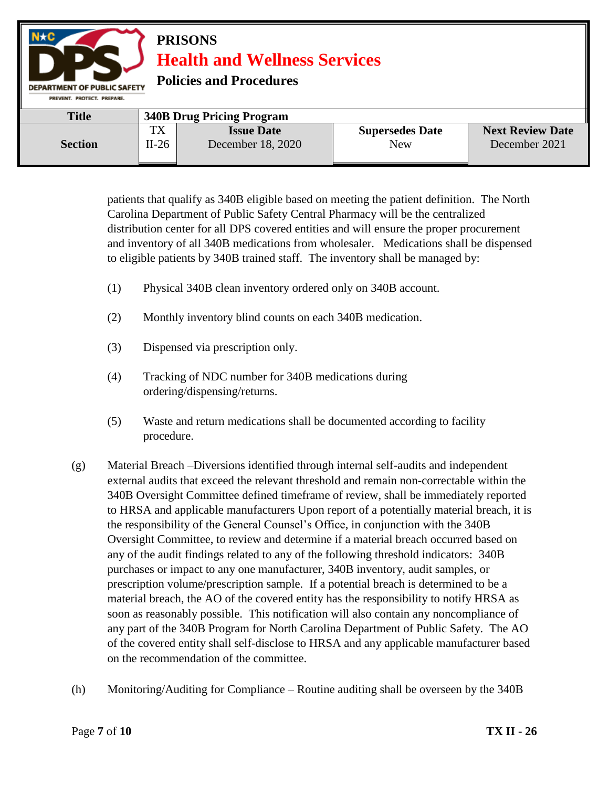

patients that qualify as 340B eligible based on meeting the patient definition. The North Carolina Department of Public Safety Central Pharmacy will be the centralized distribution center for all DPS covered entities and will ensure the proper procurement and inventory of all 340B medications from wholesaler. Medications shall be dispensed to eligible patients by 340B trained staff. The inventory shall be managed by:

- (1) Physical 340B clean inventory ordered only on 340B account.
- (2) Monthly inventory blind counts on each 340B medication.
- (3) Dispensed via prescription only.
- (4) Tracking of NDC number for 340B medications during ordering/dispensing/returns.
- (5) Waste and return medications shall be documented according to facility procedure.
- (g) Material Breach –Diversions identified through internal self-audits and independent external audits that exceed the relevant threshold and remain non-correctable within the 340B Oversight Committee defined timeframe of review, shall be immediately reported to HRSA and applicable manufacturers Upon report of a potentially material breach, it is the responsibility of the General Counsel's Office, in conjunction with the 340B Oversight Committee, to review and determine if a material breach occurred based on any of the audit findings related to any of the following threshold indicators: 340B purchases or impact to any one manufacturer, 340B inventory, audit samples, or prescription volume/prescription sample. If a potential breach is determined to be a material breach, the AO of the covered entity has the responsibility to notify HRSA as soon as reasonably possible. This notification will also contain any noncompliance of any part of the 340B Program for North Carolina Department of Public Safety. The AO of the covered entity shall self-disclose to HRSA and any applicable manufacturer based on the recommendation of the committee.
- (h) Monitoring/Auditing for Compliance Routine auditing shall be overseen by the 340B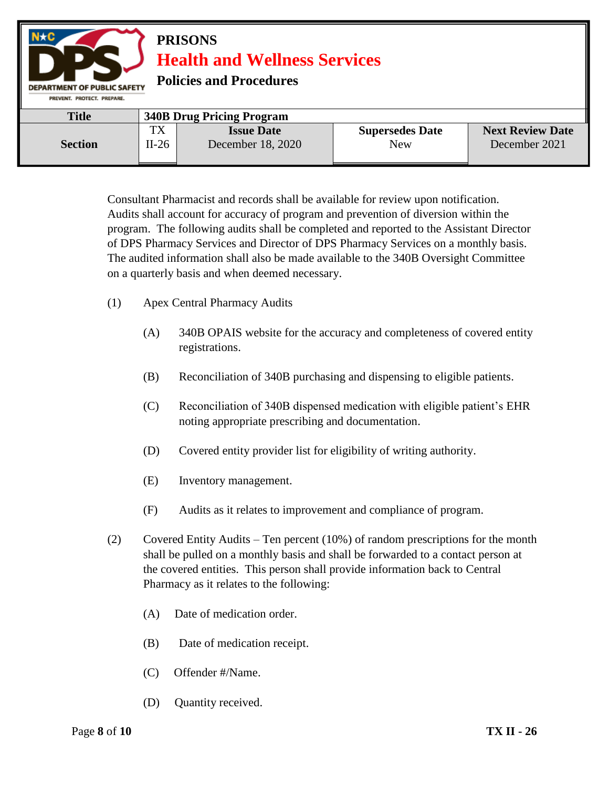

Consultant Pharmacist and records shall be available for review upon notification. Audits shall account for accuracy of program and prevention of diversion within the program. The following audits shall be completed and reported to the Assistant Director of DPS Pharmacy Services and Director of DPS Pharmacy Services on a monthly basis. The audited information shall also be made available to the 340B Oversight Committee on a quarterly basis and when deemed necessary.

- (1) Apex Central Pharmacy Audits
	- (A) 340B OPAIS website for the accuracy and completeness of covered entity registrations.
	- (B) Reconciliation of 340B purchasing and dispensing to eligible patients.
	- (C) Reconciliation of 340B dispensed medication with eligible patient's EHR noting appropriate prescribing and documentation.
	- (D) Covered entity provider list for eligibility of writing authority.
	- (E) Inventory management.
	- (F) Audits as it relates to improvement and compliance of program.
- (2) Covered Entity Audits Ten percent (10%) of random prescriptions for the month shall be pulled on a monthly basis and shall be forwarded to a contact person at the covered entities. This person shall provide information back to Central Pharmacy as it relates to the following:
	- (A) Date of medication order.
	- (B) Date of medication receipt.
	- (C) Offender #/Name.
	- (D) Quantity received.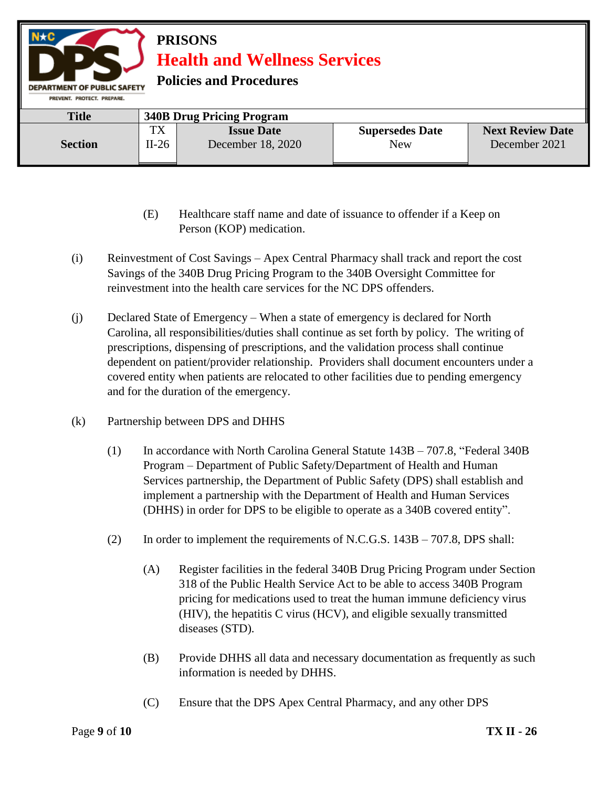

- (E) Healthcare staff name and date of issuance to offender if a Keep on Person (KOP) medication.
- (i) Reinvestment of Cost Savings Apex Central Pharmacy shall track and report the cost Savings of the 340B Drug Pricing Program to the 340B Oversight Committee for reinvestment into the health care services for the NC DPS offenders.
- (j) Declared State of Emergency When a state of emergency is declared for North Carolina, all responsibilities/duties shall continue as set forth by policy. The writing of prescriptions, dispensing of prescriptions, and the validation process shall continue dependent on patient/provider relationship. Providers shall document encounters under a covered entity when patients are relocated to other facilities due to pending emergency and for the duration of the emergency.
- (k) Partnership between DPS and DHHS
	- (1) In accordance with North Carolina General Statute 143B 707.8, "Federal 340B Program – Department of Public Safety/Department of Health and Human Services partnership, the Department of Public Safety (DPS) shall establish and implement a partnership with the Department of Health and Human Services (DHHS) in order for DPS to be eligible to operate as a 340B covered entity".
	- (2) In order to implement the requirements of N.C.G.S. 143B 707.8, DPS shall:
		- (A) Register facilities in the federal 340B Drug Pricing Program under Section 318 of the Public Health Service Act to be able to access 340B Program pricing for medications used to treat the human immune deficiency virus (HIV), the hepatitis C virus (HCV), and eligible sexually transmitted diseases (STD).
		- (B) Provide DHHS all data and necessary documentation as frequently as such information is needed by DHHS.
		- (C) Ensure that the DPS Apex Central Pharmacy, and any other DPS